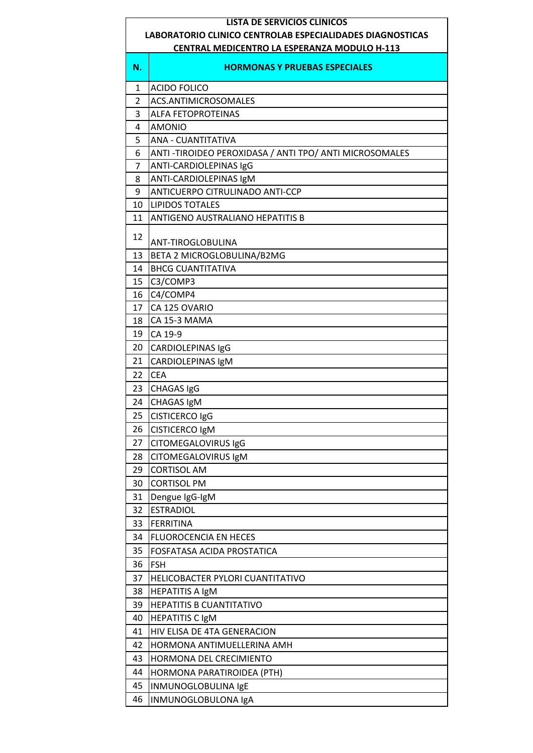## **LISTA DE SERVICIOS CLÍNICOS**

## **LABORATORIO CLINICO CENTROLAB ESPECIALIDADES DIAGNOSTICAS**

| <b>CENTRAL MEDICENTRO LA ESPERANZA MODULO H-113</b> |                                                          |  |
|-----------------------------------------------------|----------------------------------------------------------|--|
| N.                                                  | <b>HORMONAS Y PRUEBAS ESPECIALES</b>                     |  |
| 1                                                   | <b>ACIDO FOLICO</b>                                      |  |
| $\overline{2}$                                      | ACS.ANTIMICROSOMALES                                     |  |
| 3                                                   | <b>ALFA FETOPROTEINAS</b>                                |  |
| 4                                                   | <b>AMONIO</b>                                            |  |
| 5                                                   | <b>ANA - CUANTITATIVA</b>                                |  |
| 6                                                   | ANTI - TIROIDEO PEROXIDASA / ANTI TPO/ ANTI MICROSOMALES |  |
| $\overline{7}$                                      | ANTI-CARDIOLEPINAS IgG                                   |  |
| 8                                                   | ANTI-CARDIOLEPINAS IgM                                   |  |
| 9                                                   | ANTICUERPO CITRULINADO ANTI-CCP                          |  |
| 10                                                  | <b>LIPIDOS TOTALES</b>                                   |  |
| 11                                                  | <b>ANTIGENO AUSTRALIANO HEPATITIS B</b>                  |  |
| 12                                                  | ANT-TIROGLOBULINA                                        |  |
| 13                                                  | BETA 2 MICROGLOBULINA/B2MG                               |  |
| 14                                                  | <b>BHCG CUANTITATIVA</b>                                 |  |
| 15                                                  | C3/COMP3                                                 |  |
| 16                                                  | C4/COMP4                                                 |  |
| 17                                                  | CA 125 OVARIO                                            |  |
| 18                                                  | CA 15-3 MAMA                                             |  |
| 19                                                  | CA 19-9                                                  |  |
| 20                                                  | CARDIOLEPINAS IgG                                        |  |
| 21                                                  | CARDIOLEPINAS IgM                                        |  |
| 22                                                  | <b>CEA</b>                                               |  |
| 23                                                  | CHAGAS IgG                                               |  |
| 24                                                  | CHAGAS IgM                                               |  |
| 25                                                  | CISTICERCO IgG                                           |  |
| 26                                                  | <b>CISTICERCO IgM</b>                                    |  |
| 27                                                  | <b>CITOMEGALOVIRUS IgG</b>                               |  |
| 28                                                  | CITOMEGALOVIRUS IgM                                      |  |
| 29                                                  | <b>CORTISOL AM</b>                                       |  |
| 30                                                  | <b>CORTISOL PM</b>                                       |  |
|                                                     |                                                          |  |
| 31                                                  | Dengue IgG-IgM<br><b>ESTRADIOL</b>                       |  |
| 32                                                  |                                                          |  |
| 33                                                  | <b>FERRITINA</b>                                         |  |
| 34                                                  | <b>FLUOROCENCIA EN HECES</b>                             |  |
| 35                                                  | FOSFATASA ACIDA PROSTATICA                               |  |
| 36                                                  | <b>FSH</b>                                               |  |
| 37                                                  | HELICOBACTER PYLORI CUANTITATIVO                         |  |
| 38                                                  | <b>HEPATITIS A IgM</b>                                   |  |
| 39                                                  | <b>HEPATITIS B CUANTITATIVO</b>                          |  |
| 40                                                  | <b>HEPATITIS C IgM</b>                                   |  |
| 41                                                  | HIV ELISA DE 4TA GENERACION                              |  |
| 42                                                  | HORMONA ANTIMUELLERINA AMH                               |  |
| 43                                                  | HORMONA DEL CRECIMIENTO                                  |  |
| 44                                                  | HORMONA PARATIROIDEA (PTH)                               |  |
| 45                                                  | INMUNOGLOBULINA IgE                                      |  |
| 46                                                  | INMUNOGLOBULONA IgA                                      |  |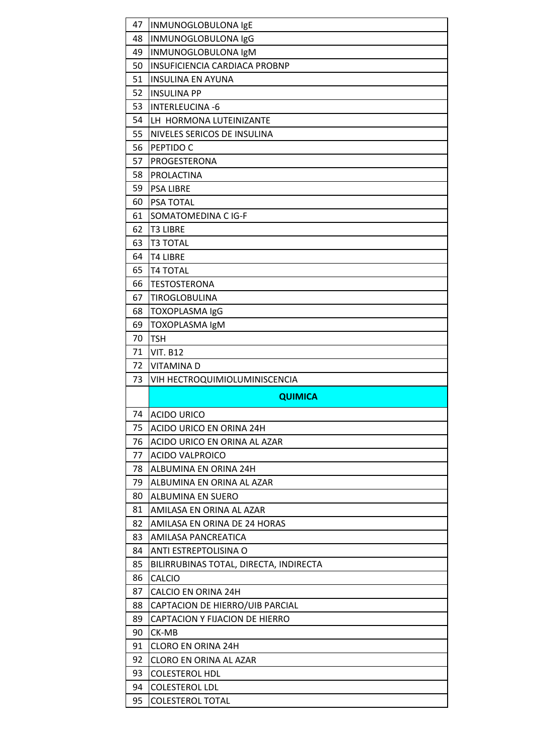| 47       | INMUNOGLOBULONA IgE                             |
|----------|-------------------------------------------------|
| 48       | INMUNOGLOBULONA IgG                             |
| 49       | INMUNOGLOBULONA IgM                             |
| 50       | INSUFICIENCIA CARDIACA PROBNP                   |
| 51       | <b>INSULINA EN AYUNA</b>                        |
| 52       | <b>INSULINA PP</b>                              |
| 53       | <b>INTERLEUCINA -6</b>                          |
| 54       | LH HORMONA LUTEINIZANTE                         |
| 55       | NIVELES SERICOS DE INSULINA                     |
| 56       | PEPTIDO C                                       |
| 57       | PROGESTERONA                                    |
| 58       | <b>PROLACTINA</b>                               |
| 59       | <b>PSA LIBRE</b>                                |
| 60       | PSA TOTAL                                       |
| 61       | SOMATOMEDINA C IG-F                             |
| 62       | <b>T3 LIBRE</b>                                 |
| 63       | <b>T3 TOTAL</b>                                 |
| 64       | <b>T4 LIBRE</b>                                 |
| 65       | <b>T4 TOTAL</b>                                 |
| 66       | <b>TESTOSTERONA</b>                             |
| 67       | TIROGLOBULINA                                   |
| 68       | TOXOPLASMA IgG                                  |
| 69       | TOXOPLASMA IgM                                  |
| 70       | <b>TSH</b>                                      |
| 71       | <b>VIT. B12</b>                                 |
| 72       |                                                 |
|          | <b>VITAMINAD</b>                                |
| 73       | VIH HECTROQUIMIOLUMINISCENCIA                   |
|          | <b>QUIMICA</b>                                  |
| 74       |                                                 |
|          | <b>ACIDO URICO</b>                              |
| 75       | ACIDO URICO EN ORINA 24H                        |
| 76<br>77 | ACIDO URICO EN ORINA AL AZAR                    |
| 78       | <b>ACIDO VALPROICO</b><br>ALBUMINA EN ORINA 24H |
| 79       | ALBUMINA EN ORINA AL AZAR                       |
| 80       | <b>ALBUMINA EN SUERO</b>                        |
| 81       | AMILASA EN ORINA AL AZAR                        |
| 82       | AMILASA EN ORINA DE 24 HORAS                    |
| 83       | AMILASA PANCREATICA                             |
| 84       | ANTI ESTREPTOLISINA O                           |
| 85       | BILIRRUBINAS TOTAL, DIRECTA, INDIRECTA          |
| 86       | <b>CALCIO</b>                                   |
| 87       | CALCIO EN ORINA 24H                             |
| 88       | CAPTACION DE HIERRO/UIB PARCIAL                 |
| 89       | CAPTACION Y FIJACION DE HIERRO                  |
| 90       | CK-MB                                           |
| 91       | <b>CLORO EN ORINA 24H</b>                       |
| 92       | CLORO EN ORINA AL AZAR                          |
| 93       | <b>COLESTEROL HDL</b>                           |
| 94       | <b>COLESTEROL LDL</b>                           |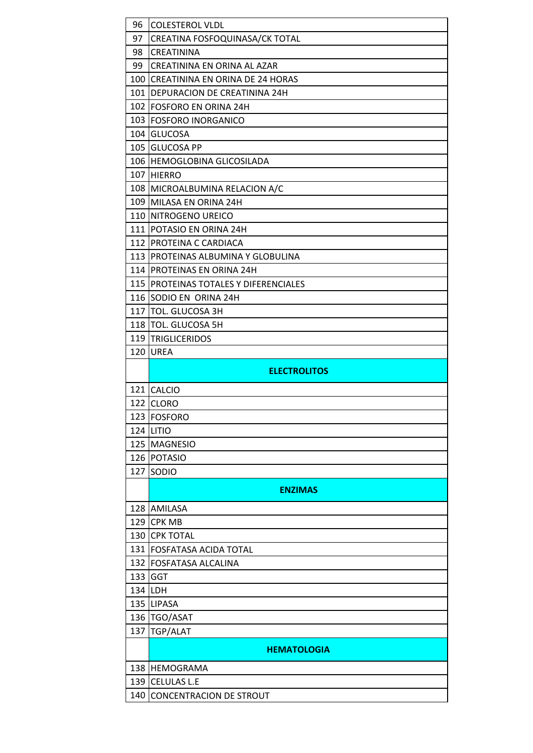| 97<br>CREATINA FOSFOQUINASA/CK TOTAL          |  |
|-----------------------------------------------|--|
|                                               |  |
| 98<br>CREATININA                              |  |
| 99<br>CREATININA EN ORINA AL AZAR             |  |
| 100<br><b>CREATININA EN ORINA DE 24 HORAS</b> |  |
| 101   DEPURACION DE CREATININA 24H            |  |
| 102 FOSFORO EN ORINA 24H                      |  |
| 103 FOSFORO INORGANICO                        |  |
| 104 GLUCOSA                                   |  |
| 105 GLUCOSA PP                                |  |
| 106 HEMOGLOBINA GLICOSILADA                   |  |
| 107 HIERRO                                    |  |
| 108 MICROALBUMINA RELACION A/C                |  |
| 109 MILASA EN ORINA 24H                       |  |
| 110 NITROGENO UREICO                          |  |
| 111 POTASIO EN ORINA 24H                      |  |
| 112 PROTEINA C CARDIACA                       |  |
| 113 PROTEINAS ALBUMINA Y GLOBULINA            |  |
|                                               |  |
| 114 PROTEINAS EN ORINA 24H                    |  |
| 115   PROTEINAS TOTALES Y DIFERENCIALES       |  |
| 116<br>SODIO EN ORINA 24H                     |  |
| 117<br>TOL. GLUCOSA 3H                        |  |
| 118<br><b>TOL. GLUCOSA 5H</b>                 |  |
| 119 TRIGLICERIDOS                             |  |
| 120<br><b>UREA</b>                            |  |
| <b>ELECTROLITOS</b>                           |  |
| 121 CALCIO                                    |  |
| 122 CLORO                                     |  |
| 123   FOSFORO                                 |  |
| <b>124 LITIO</b>                              |  |
| 125<br><b>MAGNESIO</b>                        |  |
| 126 POTASIO                                   |  |
| 127<br>SODIO                                  |  |
| <b>ENZIMAS</b>                                |  |
| 128 AMILASA                                   |  |
| 129<br><b>CPK MB</b>                          |  |
| 130<br><b>CPK TOTAL</b>                       |  |
| 131   FOSFATASA ACIDA TOTAL                   |  |
| 132<br><b>FOSFATASA ALCALINA</b>              |  |
| 133<br><b>GGT</b>                             |  |
| 134 LDH                                       |  |
| 135 LIPASA                                    |  |
| 136 TGO/ASAT                                  |  |
| TGP/ALAT<br>137                               |  |
| <b>HEMATOLOGIA</b>                            |  |
| 138<br><b>HEMOGRAMA</b>                       |  |
| 139<br><b>CELULAS L.E</b>                     |  |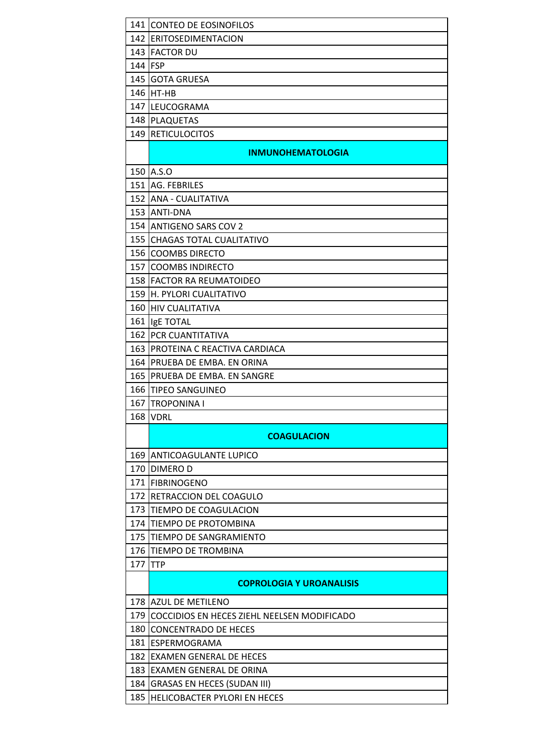|            | 141 CONTEO DE EOSINOFILOS                                          |
|------------|--------------------------------------------------------------------|
|            | 142 ERITOSEDIMENTACION                                             |
|            | <b>143 FACTOR DU</b>                                               |
| 144        | <b>FSP</b>                                                         |
|            | 145 GOTA GRUESA                                                    |
| 146        | HT-HB                                                              |
|            | 147 LEUCOGRAMA                                                     |
|            | 148 PLAQUETAS                                                      |
|            | 149 RETICULOCITOS                                                  |
|            | <b>INMUNOHEMATOLOGIA</b>                                           |
|            | 150 A.S.O                                                          |
|            | 151 AG. FEBRILES                                                   |
|            | 152 ANA - CUALITATIVA                                              |
|            | 153 ANTI-DNA                                                       |
|            | 154 ANTIGENO SARS COV 2                                            |
| 155        | <b>CHAGAS TOTAL CUALITATIVO</b>                                    |
| 156        | <b>COOMBS DIRECTO</b>                                              |
| 157        | <b>COOMBS INDIRECTO</b>                                            |
|            | 158 FACTOR RA REUMATOIDEO                                          |
|            | 159 H. PYLORI CUALITATIVO                                          |
| 160        | <b>HIV CUALITATIVA</b>                                             |
|            | 161 IgE TOTAL                                                      |
| 162        | PCR CUANTITATIVA                                                   |
|            | 163 PROTEINA C REACTIVA CARDIACA                                   |
| 164        | PRUEBA DE EMBA. EN ORINA                                           |
| 165        | PRUEBA DE EMBA. EN SANGRE                                          |
| 166        | ITIPEO SANGUINEO                                                   |
| 167        | <b>TROPONINA I</b>                                                 |
|            | <b>168 VDRL</b>                                                    |
|            | <b>COAGULACION</b>                                                 |
|            | 169 ANTICOAGULANTE LUPICO                                          |
| 170        | <b>DIMEROD</b>                                                     |
|            | 171   FIBRINOGENO                                                  |
| 172        | <b>RETRACCION DEL COAGULO</b>                                      |
| 173        | TIEMPO DE COAGULACION                                              |
| 174        | TIEMPO DE PROTOMBINA                                               |
| 175        | <b>TIEMPO DE SANGRAMIENTO</b>                                      |
| 176        | <b>TIEMPO DE TROMBINA</b>                                          |
| 177        | <b>TTP</b>                                                         |
|            | <b>COPROLOGIA Y UROANALISIS</b>                                    |
|            | 178 AZUL DE METILENO                                               |
| 179        | COCCIDIOS EN HECES ZIEHL NEELSEN MODIFICADO                        |
| 180        | <b>CONCENTRADO DE HECES</b>                                        |
|            |                                                                    |
|            | 181 ESPERMOGRAMA                                                   |
| 182        | EXAMEN GENERAL DE HECES                                            |
| 183        | <b>EXAMEN GENERAL DE ORINA</b>                                     |
| 184<br>185 | <b>GRASAS EN HECES (SUDAN III)</b><br>HELICOBACTER PYLORI EN HECES |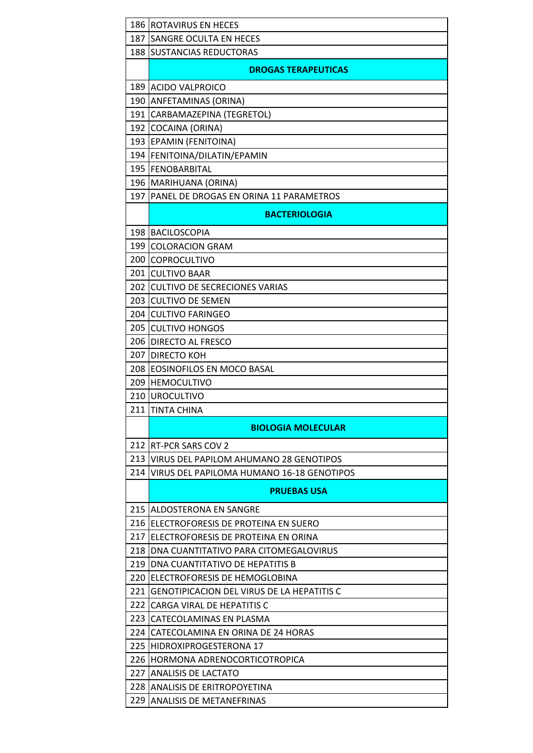|       | 186   ROTAVIRUS EN HECES                          |
|-------|---------------------------------------------------|
| 187   | SANGRE OCULTA EN HECES                            |
| 188   | <b>SUSTANCIAS REDUCTORAS</b>                      |
|       | <b>DROGAS TERAPEUTICAS</b>                        |
|       | 189 ACIDO VALPROICO                               |
|       | 190 ANFETAMINAS (ORINA)                           |
| 191   | CARBAMAZEPINA (TEGRETOL)                          |
| 192   | COCAINA (ORINA)                                   |
| 1931  | <b>EPAMIN (FENITOINA)</b>                         |
|       | 194 FENITOINA/DILATIN/EPAMIN                      |
|       | 195   FENOBARBITAL                                |
|       | 196   MARIHUANA (ORINA)                           |
| 197   | PANEL DE DROGAS EN ORINA 11 PARAMETROS            |
|       | <b>BACTERIOLOGIA</b>                              |
| 198   | <b>BACILOSCOPIA</b>                               |
| 199   | <b>COLORACION GRAM</b>                            |
| 200 l | <b>COPROCULTIVO</b>                               |
|       | 201 CULTIVO BAAR                                  |
| 202 l | <b>CULTIVO DE SECRECIONES VARIAS</b>              |
| 203   | <b>CULTIVO DE SEMEN</b>                           |
|       | 204 CULTIVO FARINGEO                              |
| 205   | <b>CULTIVO HONGOS</b>                             |
|       | 206 DIRECTO AL FRESCO                             |
| 207   | <b>DIRECTO KOH</b>                                |
|       | 208 EOSINOFILOS EN MOCO BASAL                     |
| 209   | <b>HEMOCULTIVO</b>                                |
| 210   | <b>UROCULTIVO</b>                                 |
| 211   | <b>TINTA CHINA</b>                                |
|       | <b>BIOLOGIA MOLECULAR</b>                         |
| 212   | <b>RT-PCR SARS COV 2</b>                          |
| 213   | VIRUS DEL PAPILOM AHUMANO 28 GENOTIPOS            |
| 214   | VIRUS DEL PAPILOMA HUMANO 16-18 GENOTIPOS         |
|       | <b>PRUEBAS USA</b>                                |
|       | 215 ALDOSTERONA EN SANGRE                         |
| 216   | ELECTROFORESIS DE PROTEINA EN SUERO               |
| 217   | ELECTROFORESIS DE PROTEINA EN ORINA               |
| 218   | DNA CUANTITATIVO PARA CITOMEGALOVIRUS             |
| 219   | DNA CUANTITATIVO DE HEPATITIS B                   |
| 220   | ELECTROFORESIS DE HEMOGLOBINA                     |
| 221   | <b>GENOTIPICACION DEL VIRUS DE LA HEPATITIS C</b> |
| 222   | CARGA VIRAL DE HEPATITIS C                        |
| 223   | CATECOLAMINAS EN PLASMA                           |
| 224   | CATECOLAMINA EN ORINA DE 24 HORAS                 |
| 225   | HIDROXIPROGESTERONA 17                            |
| 226 l | HORMONA ADRENOCORTICOTROPICA                      |
|       | 227 IANALISIS DE LACTATO                          |
|       | 228 ANALISIS DE ERITROPOYETINA                    |
| 229   | <b>ANALISIS DE METANEFRINAS</b>                   |